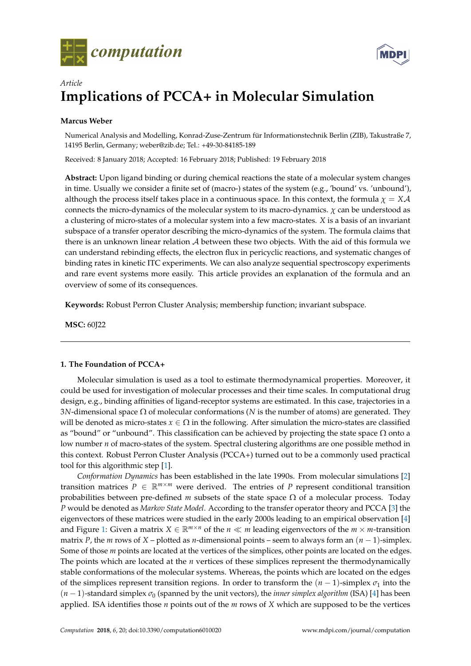



# *Article* **Implications of PCCA+ in Molecular Simulation**

# **Marcus Weber**

Numerical Analysis and Modelling, Konrad-Zuse-Zentrum für Informationstechnik Berlin (ZIB), Takustraße 7, 14195 Berlin, Germany; weber@zib.de; Tel.: +49-30-84185-189

Received: 8 January 2018; Accepted: 16 February 2018; Published: 19 February 2018

**Abstract:** Upon ligand binding or during chemical reactions the state of a molecular system changes in time. Usually we consider a finite set of (macro-) states of the system (e.g., 'bound' vs. 'unbound'), although the process itself takes place in a continuous space. In this context, the formula  $\chi = X\mathcal{A}$ connects the micro-dynamics of the molecular system to its macro-dynamics.  $\chi$  can be understood as a clustering of micro-states of a molecular system into a few macro-states. *X* is a basis of an invariant subspace of a transfer operator describing the micro-dynamics of the system. The formula claims that there is an unknown linear relation A between these two objects. With the aid of this formula we can understand rebinding effects, the electron flux in pericyclic reactions, and systematic changes of binding rates in kinetic ITC experiments. We can also analyze sequential spectroscopy experiments and rare event systems more easily. This article provides an explanation of the formula and an overview of some of its consequences.

**Keywords:** Robust Perron Cluster Analysis; membership function; invariant subspace.

**MSC:** 60J22

# **1. The Foundation of PCCA+**

Molecular simulation is used as a tool to estimate thermodynamical properties. Moreover, it could be used for investigation of molecular processes and their time scales. In computational drug design, e.g., binding affinities of ligand-receptor systems are estimated. In this case, trajectories in a 3*N*-dimensional space Ω of molecular conformations (*N* is the number of atoms) are generated. They will be denoted as micro-states  $x \in \Omega$  in the following. After simulation the micro-states are classified as "bound" or "unbound". This classification can be achieved by projecting the state space  $\Omega$  onto a low number *n* of macro-states of the system. Spectral clustering algorithms are one possible method in this context. Robust Perron Cluster Analysis (PCCA+) turned out to be a commonly used practical tool for this algorithmic step [\[1\]](#page-14-0).

*Conformation Dynamics* has been established in the late 1990s. From molecular simulations [\[2\]](#page-14-1) transition matrices  $P \in \mathbb{R}^{m \times m}$  were derived. The entries of P represent conditional transition probabilities between pre-defined *m* subsets of the state space  $\Omega$  of a molecular process. Today *P* would be denoted as *Markov State Model*. According to the transfer operator theory and PCCA [\[3\]](#page-14-2) the eigenvectors of these matrices were studied in the early 2000s leading to an empirical observation [\[4\]](#page-14-3) and Figure [1:](#page-1-0) Given a matrix  $X \in \mathbb{R}^{m \times n}$  of the  $n \ll m$  leading eigenvectors of the  $m \times m$ -transition matrix *P*, the *m* rows of *X* – plotted as *n*-dimensional points – seem to always form an  $(n - 1)$ -simplex. Some of those *m* points are located at the vertices of the simplices, other points are located on the edges. The points which are located at the *n* vertices of these simplices represent the thermodynamically stable conformations of the molecular systems. Whereas, the points which are located on the edges of the simplices represent transition regions. In order to transform the  $(n - 1)$ -simplex  $\sigma_1$  into the  $(n-1)$ -standard simplex  $\sigma_0$  (spanned by the unit vectors), the *inner simplex algorithm* (ISA) [\[4\]](#page-14-3) has been applied. ISA identifies those *n* points out of the *m* rows of *X* which are supposed to be the vertices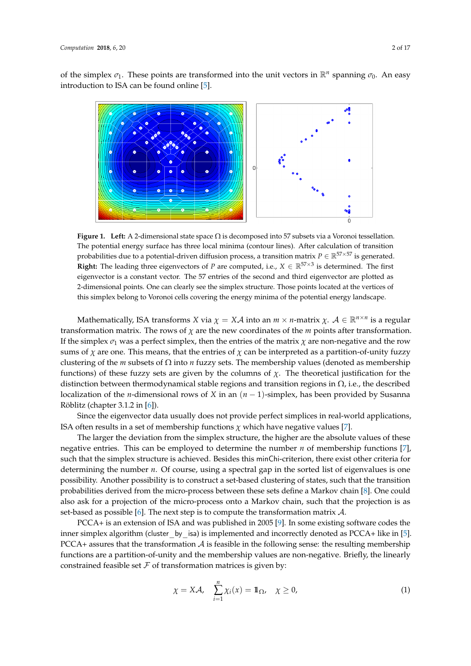of the simplex  $\sigma_1$ . These points are transformed into the unit vectors in  $\mathbb{R}^n$  spanning  $\sigma_0$ . An easy introduction to ISA can be found online [\[5\]](#page-14-4).

<span id="page-1-0"></span>

**Figure 1. Left:** A 2-dimensional state space Ω is decomposed into 57 subsets via a Voronoi tessellation. The potential energy surface has three local minima (contour lines). After calculation of transition probabilities due to a potential-driven diffusion process, a transition matrix  $P \in \mathbb{R}^{57 \times 57}$  is generated. **Right:** The leading three eigenvectors of *P* are computed, i.e.,  $X \in \mathbb{R}^{57 \times 3}$  is determined. The first eigenvector is a constant vector. The 57 entries of the second and third eigenvector are plotted as 2-dimensional points. One can clearly see the simplex structure. Those points located at the vertices of this simplex belong to Voronoi cells covering the energy minima of the potential energy landscape.

Mathematically, ISA transforms *X* via  $\chi = X\mathcal{A}$  into an  $m \times n$ -matrix  $\chi$ .  $\mathcal{A} \in \mathbb{R}^{n \times n}$  is a regular transformation matrix. The rows of *χ* are the new coordinates of the *m* points after transformation. If the simplex  $\sigma_1$  was a perfect simplex, then the entries of the matrix  $\chi$  are non-negative and the row sums of  $\chi$  are one. This means, that the entries of  $\chi$  can be interpreted as a partition-of-unity fuzzy clustering of the *m* subsets of Ω into *n* fuzzy sets. The membership values (denoted as membership functions) of these fuzzy sets are given by the columns of  $\chi$ . The theoretical justification for the distinction between thermodynamical stable regions and transition regions in  $\Omega$ , i.e., the described localization of the *n*-dimensional rows of *X* in an (*n* − 1)-simplex, has been provided by Susanna Röblitz (chapter 3.1.2 in [\[6\]](#page-14-5)).

Since the eigenvector data usually does not provide perfect simplices in real-world applications, ISA often results in a set of membership functions  $\chi$  which have negative values [\[7\]](#page-14-6).

The larger the deviation from the simplex structure, the higher are the absolute values of these negative entries. This can be employed to determine the number *n* of membership functions [\[7\]](#page-14-6), such that the simplex structure is achieved. Besides this minChi-criterion, there exist other criteria for determining the number *n*. Of course, using a spectral gap in the sorted list of eigenvalues is one possibility. Another possibility is to construct a set-based clustering of states, such that the transition probabilities derived from the micro-process between these sets define a Markov chain [\[8\]](#page-14-7). One could also ask for a projection of the micro-process onto a Markov chain, such that the projection is as set-based as possible [\[6\]](#page-14-5). The next step is to compute the transformation matrix  $\mathcal{A}$ .

PCCA+ is an extension of ISA and was published in 2005 [\[9\]](#page-14-8). In some existing software codes the inner simplex algorithm (cluster by isa) is implemented and incorrectly denoted as PCCA+ like in [\[5\]](#page-14-4). PCCA+ assures that the transformation  $A$  is feasible in the following sense: the resulting membership functions are a partition-of-unity and the membership values are non-negative. Briefly, the linearly constrained feasible set  $\mathcal F$  of transformation matrices is given by:

<span id="page-1-1"></span>
$$
\chi = X\mathcal{A}, \quad \sum_{i=1}^{n} \chi_i(x) = \mathbb{1}_{\Omega}, \quad \chi \ge 0,
$$
\n(1)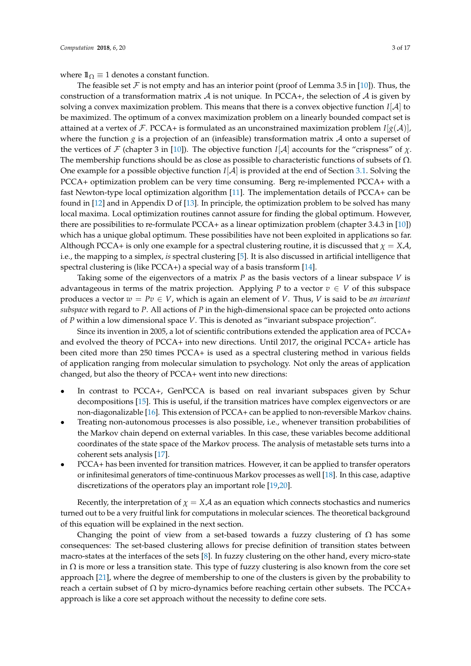where  $\mathbb{1}_{\Omega} \equiv 1$  denotes a constant function.

The feasible set F is not empty and has an interior point (proof of Lemma 3.5 in [\[10\]](#page-14-9)). Thus, the construction of a transformation matrix A is not unique. In PCCA+, the selection of A is given by solving a convex maximization problem. This means that there is a convex objective function  $I[A]$  to be maximized. The optimum of a convex maximization problem on a linearly bounded compact set is attained at a vertex of F. PCCA+ is formulated as an unconstrained maximization problem  $I[g(\mathcal{A})]$ , where the function *g* is a projection of an (infeasible) transformation matrix  $\mathcal A$  onto a superset of the vertices of F (chapter 3 in [\[10\]](#page-14-9)). The objective function  $I[A]$  accounts for the "crispness" of  $\chi$ . The membership functions should be as close as possible to characteristic functions of subsets of  $\Omega$ . One example for a possible objective function *I*[A] is provided at the end of Section [3.1.](#page-5-0) Solving the PCCA+ optimization problem can be very time consuming. Berg re-implemented PCCA+ with a fast Newton-type local optimization algorithm [\[11\]](#page-14-10). The implementation details of PCCA+ can be found in [\[12\]](#page-14-11) and in Appendix D of [\[13\]](#page-14-12). In principle, the optimization problem to be solved has many local maxima. Local optimization routines cannot assure for finding the global optimum. However, there are possibilities to re-formulate PCCA+ as a linear optimization problem (chapter 3.4.3 in [\[10\]](#page-14-9)) which has a unique global optimum. These possibilities have not been exploited in applications so far. Although PCCA+ is only one example for a spectral clustering routine, it is discussed that  $\chi = X\mathcal{A}$ , i.e., the mapping to a simplex, *is* spectral clustering [\[5\]](#page-14-4). It is also discussed in artificial intelligence that spectral clustering is (like PCCA+) a special way of a basis transform [\[14\]](#page-14-13).

Taking some of the eigenvectors of a matrix *P* as the basis vectors of a linear subspace *V* is advantageous in terms of the matrix projection. Applying *P* to a vector  $v \in V$  of this subspace produces a vector  $w = Pv \in V$ , which is again an element of *V*. Thus, *V* is said to be *an invariant subspace* with regard to *P*. All actions of *P* in the high-dimensional space can be projected onto actions of *P* within a low dimensional space *V*. This is denoted as "invariant subspace projection".

Since its invention in 2005, a lot of scientific contributions extended the application area of PCCA+ and evolved the theory of PCCA+ into new directions. Until 2017, the original PCCA+ article has been cited more than 250 times PCCA+ is used as a spectral clustering method in various fields of application ranging from molecular simulation to psychology. Not only the areas of application changed, but also the theory of PCCA+ went into new directions:

- In contrast to PCCA+, GenPCCA is based on real invariant subspaces given by Schur decompositions [\[15\]](#page-14-14). This is useful, if the transition matrices have complex eigenvectors or are non-diagonalizable [\[16\]](#page-14-15). This extension of PCCA+ can be applied to non-reversible Markov chains.
- Treating non-autonomous processes is also possible, i.e., whenever transition probabilities of the Markov chain depend on external variables. In this case, these variables become additional coordinates of the state space of the Markov process. The analysis of metastable sets turns into a coherent sets analysis [\[17\]](#page-14-16).
- PCCA+ has been invented for transition matrices. However, it can be applied to transfer operators or infinitesimal generators of time-continuous Markov processes as well [\[18\]](#page-14-17). In this case, adaptive discretizations of the operators play an important role [\[19](#page-14-18)[,20\]](#page-14-19).

Recently, the interpretation of  $\chi = X\mathcal{A}$  as an equation which connects stochastics and numerics turned out to be a very fruitful link for computations in molecular sciences. The theoretical background of this equation will be explained in the next section.

Changing the point of view from a set-based towards a fuzzy clustering of  $\Omega$  has some consequences: The set-based clustering allows for precise definition of transition states between macro-states at the interfaces of the sets [\[8\]](#page-14-7). In fuzzy clustering on the other hand, every micro-state in  $\Omega$  is more or less a transition state. This type of fuzzy clustering is also known from the core set approach [\[21\]](#page-14-20), where the degree of membership to one of the clusters is given by the probability to reach a certain subset of  $\Omega$  by micro-dynamics before reaching certain other subsets. The PCCA+ approach is like a core set approach without the necessity to define core sets.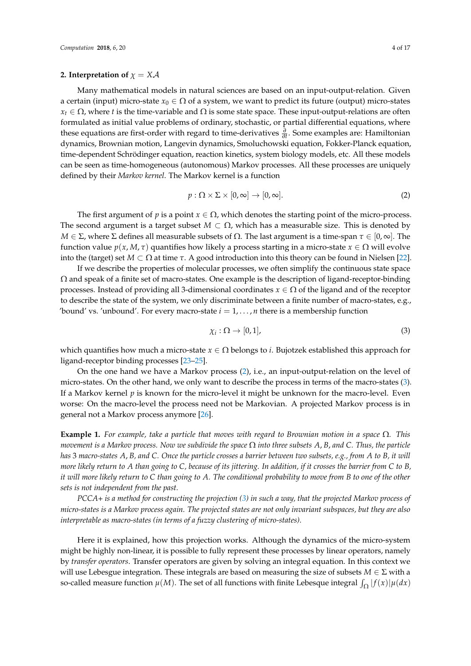#### <span id="page-3-2"></span>**2. Interpretation of**  $\chi = X\mathcal{A}$

Many mathematical models in natural sciences are based on an input-output-relation. Given a certain (input) micro-state  $x_0 \in \Omega$  of a system, we want to predict its future (output) micro-states  $x_t \in \Omega$ , where *t* is the time-variable and  $\Omega$  is some state space. These input-output-relations are often formulated as initial value problems of ordinary, stochastic, or partial differential equations, where these equations are first-order with regard to time-derivatives *<sup>∂</sup> ∂t* . Some examples are: Hamiltonian dynamics, Brownian motion, Langevin dynamics, Smoluchowski equation, Fokker-Planck equation, time-dependent Schrödinger equation, reaction kinetics, system biology models, etc. All these models can be seen as time-homogeneous (autonomous) Markov processes. All these processes are uniquely defined by their *Markov kernel*. The Markov kernel is a function

<span id="page-3-0"></span>
$$
p: \Omega \times \Sigma \times [0, \infty] \to [0, \infty]. \tag{2}
$$

The first argument of *p* is a point  $x \in \Omega$ , which denotes the starting point of the micro-process. The second argument is a target subset  $M \subset \Omega$ , which has a measurable size. This is denoted by *M* ∈ Σ, where Σ defines all measurable subsets of Ω. The last argument is a time-span  $\tau \in [0, \infty]$ . The function value  $p(x, M, \tau)$  quantifies how likely a process starting in a micro-state  $x \in \Omega$  will evolve into the (target) set  $M \subset \Omega$  at time  $\tau$ . A good introduction into this theory can be found in Nielsen [\[22\]](#page-14-21).

If we describe the properties of molecular processes, we often simplify the continuous state space  $\Omega$  and speak of a finite set of macro-states. One example is the description of ligand-receptor-binding processes. Instead of providing all 3-dimensional coordinates *x* ∈ Ω of the ligand and of the receptor to describe the state of the system, we only discriminate between a finite number of macro-states, e.g., 'bound' vs. 'unbound'. For every macro-state  $i = 1, \ldots, n$  there is a membership function

<span id="page-3-1"></span>
$$
\chi_i : \Omega \to [0,1], \tag{3}
$$

which quantifies how much a micro-state *x* ∈ Ω belongs to *i*. Bujotzek established this approach for ligand-receptor binding processes [\[23](#page-14-22)[–25\]](#page-15-0).

On the one hand we have a Markov process [\(2\)](#page-3-0), i.e., an input-output-relation on the level of micro-states. On the other hand, we only want to describe the process in terms of the macro-states [\(3\)](#page-3-1). If a Markov kernel *p* is known for the micro-level it might be unknown for the macro-level. Even worse: On the macro-level the process need not be Markovian. A projected Markov process is in general not a Markov process anymore [\[26\]](#page-15-1).

**Example 1.** *For example, take a particle that moves with regard to Brownian motion in a space* Ω*. This movement is a Markov process. Now we subdivide the space* Ω *into three subsets A*, *B*, *and C. Thus, the particle has* 3 *macro-states A*, *B, and C. Once the particle crosses a barrier between two subsets, e.g., from A to B, it will more likely return to A than going to C, because of its jittering. In addition, if it crosses the barrier from C to B, it will more likely return to C than going to A. The conditional probability to move from B to one of the other sets is not independent from the past.*

*PCCA+ is a method for constructing the projection [\(3\)](#page-3-1) in such a way, that the projected Markov process of micro-states is a Markov process again. The projected states are not only invariant subspaces, but they are also interpretable as macro-states (in terms of a fuzzy clustering of micro-states).*

Here it is explained, how this projection works. Although the dynamics of the micro-system might be highly non-linear, it is possible to fully represent these processes by linear operators, namely by *transfer operators*. Transfer operators are given by solving an integral equation. In this context we will use Lebesgue integration. These integrals are based on measuring the size of subsets *M* ∈ Σ with a so-called measure function  $\mu(M)$ . The set of all functions with finite Lebesque integral  $\int_{\Omega} |f(x)| \mu(dx)$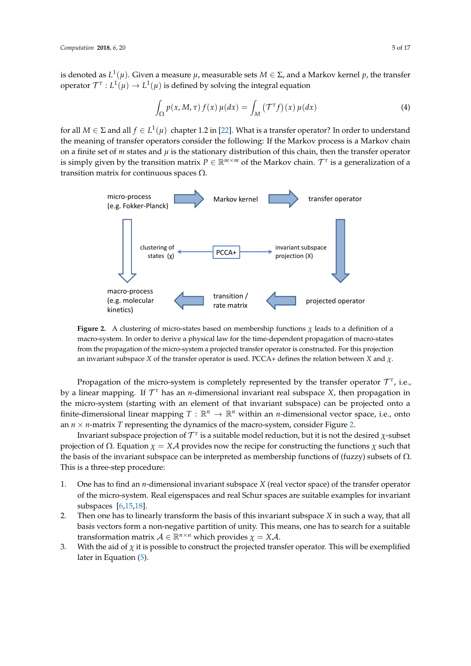is denoted as  $L^1(\mu).$  Given a measure  $\mu$ , measurable sets  $M\in\Sigma$ , and a Markov kernel  $p$ , the transfer operator  $\mathcal{T}^{\tau}: L^1(\mu) \to L^1(\mu)$  is defined by solving the integral equation

<span id="page-4-1"></span>
$$
\int_{\Omega} p(x, M, \tau) f(x) \mu(dx) = \int_{M} (\mathcal{T}^{\tau} f)(x) \mu(dx) \tag{4}
$$

for all  $M \in \Sigma$  and all  $f \in L^1(\mu)$  chapter 1.2 in [\[22\]](#page-14-21). What is a transfer operator? In order to understand the meaning of transfer operators consider the following: If the Markov process is a Markov chain on a finite set of  $m$  states and  $\mu$  is the stationary distribution of this chain, then the transfer operator is simply given by the transition matrix  $P \in \mathbb{R}^{m \times m}$  of the Markov chain.  $\mathcal{T}^{\tau}$  is a generalization of a transition matrix for continuous spaces  $Ω$ .

<span id="page-4-0"></span>

**Figure 2.** A clustering of micro-states based on membership functions  $\chi$  leads to a definition of a macro-system. In order to derive a physical law for the time-dependent propagation of macro-states from the propagation of the micro-system a projected transfer operator is constructed. For this projection an invariant subspace *X* of the transfer operator is used. PCCA+ defines the relation between *X* and *χ*.

Propagation of the micro-system is completely represented by the transfer operator  $\mathcal{T}^{\tau}$ , i.e., by a linear mapping. If T *<sup>τ</sup>* has an *n*-dimensional invariant real subspace *X*, then propagation in the micro-system (starting with an element of that invariant subspace) can be projected onto a finite-dimensional linear mapping  $T : \mathbb{R}^n \to \mathbb{R}^n$  within an *n*-dimensional vector space, i.e., onto an  $n \times n$ -matrix *T* representing the dynamics of the macro-system, consider Figure [2.](#page-4-0)

Invariant subspace projection of  $\mathcal{T}^\tau$  is a suitable model reduction, but it is not the desired  $\chi$ -subset projection of Ω. Equation  $\chi = X\mathcal{A}$  provides now the recipe for constructing the functions  $\chi$  such that the basis of the invariant subspace can be interpreted as membership functions of (fuzzy) subsets of  $\Omega$ . This is a three-step procedure:

- 1. One has to find an *n*-dimensional invariant subspace *X* (real vector space) of the transfer operator of the micro-system. Real eigenspaces and real Schur spaces are suitable examples for invariant subspaces [\[6,](#page-14-5)[15](#page-14-14)[,18\]](#page-14-17).
- 2. Then one has to linearly transform the basis of this invariant subspace *X* in such a way, that all basis vectors form a non-negative partition of unity. This means, one has to search for a suitable transformation matrix  $A \in \mathbb{R}^{n \times n}$  which provides  $\chi = X \mathcal{A}$ .
- 3. With the aid of  $\chi$  it is possible to construct the projected transfer operator. This will be exemplified later in Equation [\(5\)](#page-5-1).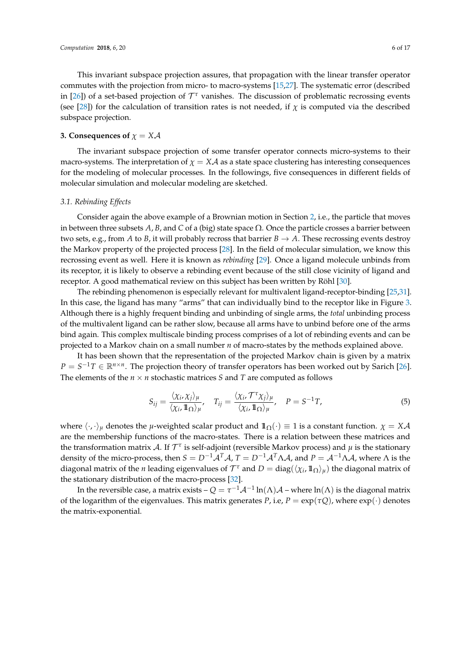This invariant subspace projection assures, that propagation with the linear transfer operator commutes with the projection from micro- to macro-systems [\[15,](#page-14-14)[27\]](#page-15-2). The systematic error (described in [\[26\]](#page-15-1)) of a set-based projection of  $\mathcal{T}^{\tau}$  vanishes. The discussion of problematic recrossing events (see [\[28\]](#page-15-3)) for the calculation of transition rates is not needed, if  $\chi$  is computed via the described subspace projection.

#### **3. Consequences of**  $\chi = X\mathcal{A}$

The invariant subspace projection of some transfer operator connects micro-systems to their macro-systems. The interpretation of  $\chi = X\mathcal{A}$  as a state space clustering has interesting consequences for the modeling of molecular processes. In the followings, five consequences in different fields of molecular simulation and molecular modeling are sketched.

#### <span id="page-5-0"></span>*3.1. Rebinding Effects*

Consider again the above example of a Brownian motion in Section [2,](#page-3-2) i.e., the particle that moves in between three subsets  $A$ ,  $B$ , and  $C$  of a (big) state space  $\Omega$ . Once the particle crosses a barrier between two sets, e.g., from *A* to *B*, it will probably recross that barrier  $B \to A$ . These recrossing events destroy the Markov property of the projected process [\[28\]](#page-15-3). In the field of molecular simulation, we know this recrossing event as well. Here it is known as *rebinding* [\[29\]](#page-15-4). Once a ligand molecule unbinds from its receptor, it is likely to observe a rebinding event because of the still close vicinity of ligand and receptor. A good mathematical review on this subject has been written by Röhl [\[30\]](#page-15-5).

The rebinding phenomenon is especially relevant for multivalent ligand-receptor-binding [\[25](#page-15-0)[,31\]](#page-15-6). In this case, the ligand has many "arms" that can individually bind to the receptor like in Figure [3.](#page-6-0) Although there is a highly frequent binding and unbinding of single arms, the *total* unbinding process of the multivalent ligand can be rather slow, because all arms have to unbind before one of the arms bind again. This complex multiscale binding process comprises of a lot of rebinding events and can be projected to a Markov chain on a small number *n* of macro-states by the methods explained above.

It has been shown that the representation of the projected Markov chain is given by a matrix *P* =  $S^{-1}T$  ∈  $\mathbb{R}^{n \times n}$ . The projection theory of transfer operators has been worked out by Sarich [\[26\]](#page-15-1). The elements of the  $n \times n$  stochastic matrices *S* and *T* are computed as follows

<span id="page-5-1"></span>
$$
S_{ij} = \frac{\langle \chi_i, \chi_j \rangle_{\mu}}{\langle \chi_i, \mathbf{1}_{\Omega} \rangle_{\mu}}, \quad T_{ij} = \frac{\langle \chi_i, \mathcal{T}^{\tau} \chi_j \rangle_{\mu}}{\langle \chi_i, \mathbf{1}_{\Omega} \rangle_{\mu}}, \quad P = S^{-1}T,
$$
\n
$$
(5)
$$

where  $\langle \cdot, \cdot \rangle_{\mu}$  denotes the *µ*-weighted scalar product and  $\mathbb{1}_{\Omega}(\cdot) \equiv 1$  is a constant function.  $\chi = X\mathcal{A}$ are the membership functions of the macro-states. There is a relation between these matrices and the transformation matrix A. If T *τ* is self-adjoint (reversible Markov process) and *µ* is the stationary density of the micro-process, then  $S = D^{-1}A^T A$ ,  $T = D^{-1}A^T \Lambda A$ , and  $P = A^{-1} \Lambda A$ , where  $\Lambda$  is the diagonal matrix of the *n* leading eigenvalues of  $\mathcal{T}^{\tau}$  and  $D = diag(\langle \chi_i, 1\!\!1_{\Omega} \rangle_{\mu})$  the diagonal matrix of the stationary distribution of the macro-process [\[32\]](#page-15-7).

In the reversible case, a matrix exists –  $Q=\tau^{-1}{\cal A}^{-1}\ln(\Lambda){\cal A}$  – where  $\ln(\Lambda)$  is the diagonal matrix of the logarithm of the eigenvalues. This matrix generates *P*, i.e,  $P = \exp(\tau Q)$ , where  $\exp(\cdot)$  denotes the matrix-exponential.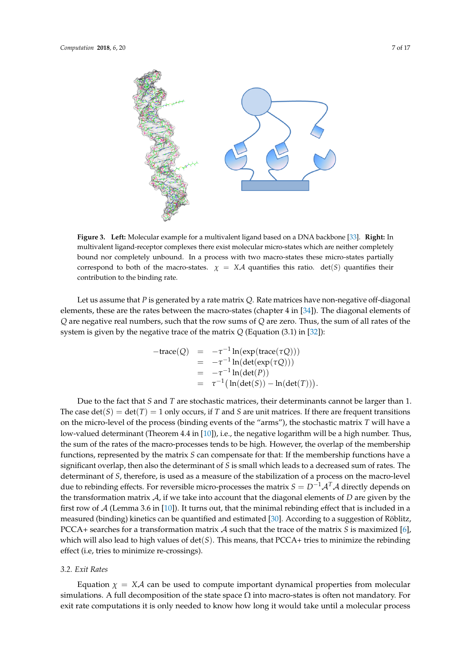<span id="page-6-0"></span>

**Figure 3. Left:** Molecular example for a multivalent ligand based on a DNA backbone [\[33\]](#page-15-8). **Right:** In multivalent ligand-receptor complexes there exist molecular micro-states which are neither completely bound nor completely unbound. In a process with two macro-states these micro-states partially correspond to both of the macro-states.  $\chi = X\mathcal{A}$  quantifies this ratio. det(*S*) quantifies their contribution to the binding rate.

Let us assume that *P* is generated by a rate matrix *Q*. Rate matrices have non-negative off-diagonal elements, these are the rates between the macro-states (chapter 4 in [\[34\]](#page-15-9)). The diagonal elements of *Q* are negative real numbers, such that the row sums of *Q* are zero. Thus, the sum of all rates of the system is given by the negative trace of the matrix *Q* (Equation (3.1) in [\[32\]](#page-15-7)):

<span id="page-6-1"></span>
$$
-trace(Q) = -\tau^{-1} ln(exp(trace(\tau Q)))
$$
  
=  $-\tau^{-1} ln(det(exp(\tau Q)))$   
=  $-\tau^{-1} ln(det(P))$   
=  $\tau^{-1} (ln(det(S)) - ln(det(T))).$ 

Due to the fact that *S* and *T* are stochastic matrices, their determinants cannot be larger than 1. The case  $\det(S) = \det(T) = 1$  only occurs, if T and S are unit matrices. If there are frequent transitions on the micro-level of the process (binding events of the "arms"), the stochastic matrix *T* will have a low-valued determinant (Theorem 4.4 in [\[10\]](#page-14-9)), i.e., the negative logarithm will be a high number. Thus, the sum of the rates of the macro-processes tends to be high. However, the overlap of the membership functions, represented by the matrix *S* can compensate for that: If the membership functions have a significant overlap, then also the determinant of *S* is small which leads to a decreased sum of rates. The determinant of *S*, therefore, is used as a measure of the stabilization of a process on the macro-level due to rebinding effects. For reversible micro-processes the matrix  $S = D^{-1}A^{T}A$  directly depends on the transformation matrix A, if we take into account that the diagonal elements of *D* are given by the first row of  $\mathcal A$  (Lemma 3.6 in [\[10\]](#page-14-9)). It turns out, that the minimal rebinding effect that is included in a measured (binding) kinetics can be quantified and estimated [\[30\]](#page-15-5). According to a suggestion of Röblitz, PCCA+ searches for a transformation matrix A such that the trace of the matrix *S* is maximized [\[6\]](#page-14-5), which will also lead to high values of det(*S*). This means, that PCCA+ tries to minimize the rebinding effect (i.e, tries to minimize re-crossings).

#### *3.2. Exit Rates*

Equation  $\chi = X\mathcal{A}$  can be used to compute important dynamical properties from molecular simulations. A full decomposition of the state space  $\Omega$  into macro-states is often not mandatory. For exit rate computations it is only needed to know how long it would take until a molecular process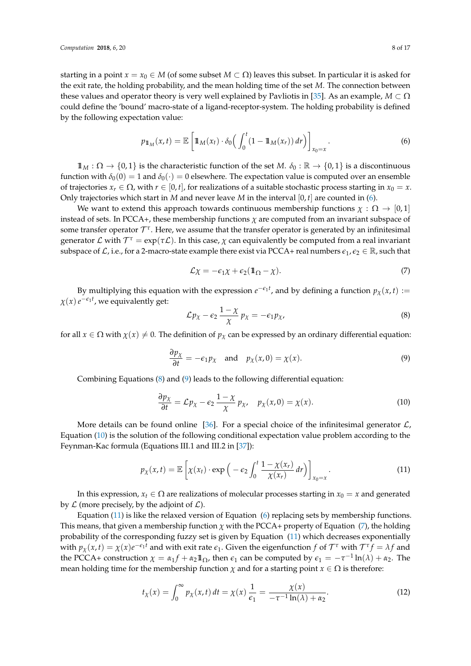starting in a point  $x = x_0 \in M$  (of some subset  $M \subset \Omega$ ) leaves this subset. In particular it is asked for the exit rate, the holding probability, and the mean holding time of the set *M*. The connection between these values and operator theory is very well explained by Pavliotis in [\[35\]](#page-15-10). As an example,  $M \subset \Omega$ could define the 'bound' macro-state of a ligand-receptor-system. The holding probability is defined by the following expectation value:

$$
p_{1\!\!1_M}(x,t) = \mathbb{E}\left[\mathbb{1}_M(x_t) \cdot \delta_0\Big(\int_0^t (1 - \mathbb{1}_M(x_r))\,dr\Big)\right]_{x_0 = x}.\tag{6}
$$

 $1\!\!1_M:\Omega\to\{0,1\}$  is the characteristic function of the set *M*.  $\delta_0:\mathbb{R}\to\{0,1\}$  is a discontinuous function with  $\delta_0(0) = 1$  and  $\delta_0(\cdot) = 0$  elsewhere. The expectation value is computed over an ensemble of trajectories  $x_r \in \Omega$ , with  $r \in [0, t]$ , for realizations of a suitable stochastic process starting in  $x_0 = x$ . Only trajectories which start in *M* and never leave *M* in the interval  $[0, t]$  are counted in [\(6\)](#page-6-1).

We want to extend this approach towards continuous membership functions  $\chi : \Omega \to [0,1]$ instead of sets. In PCCA+, these membership functions *χ* are computed from an invariant subspace of some transfer operator  $\mathcal{T}^{\tau}$ . Here, we assume that the transfer operator is generated by an infinitesimal generator  $\mathcal L$  with  $\mathcal T^\tau=\exp(\tau\mathcal L).$  In this case,  $\chi$  can equivalently be computed from a real invariant subspace of  $\mathcal{L}$ , i.e., for a 2-macro-state example there exist via PCCA+ real numbers  $\epsilon_1, \epsilon_2 \in \mathbb{R}$ , such that

<span id="page-7-4"></span>
$$
\mathcal{L}\chi = -\epsilon_1 \chi + \epsilon_2 (\mathbb{1}_{\Omega} - \chi). \tag{7}
$$

By multiplying this equation with the expression  $e^{-\epsilon_1 t}$ , and by defining a function  $p_\chi(x, t) :=$  $\chi(x)$   $e^{-\epsilon_1 t}$ , we equivalently get:

<span id="page-7-0"></span>
$$
\mathcal{L}p_{\chi} - \epsilon_2 \frac{1 - \chi}{\chi} p_{\chi} = -\epsilon_1 p_{\chi}, \tag{8}
$$

for all  $x \in \Omega$  with  $\chi(x) \neq 0$ . The definition of  $p<sub>x</sub>$  can be expressed by an ordinary differential equation:

<span id="page-7-1"></span>
$$
\frac{\partial p_{\chi}}{\partial t} = -\epsilon_1 p_{\chi} \quad \text{and} \quad p_{\chi}(x,0) = \chi(x). \tag{9}
$$

Combining Equations [\(8\)](#page-7-0) and [\(9\)](#page-7-1) leads to the following differential equation:

<span id="page-7-2"></span>
$$
\frac{\partial p_{\chi}}{\partial t} = \mathcal{L} p_{\chi} - \epsilon_2 \frac{1 - \chi}{\chi} p_{\chi}, \quad p_{\chi}(x, 0) = \chi(x). \tag{10}
$$

More details can be found online [\[36\]](#page-15-11). For a special choice of the infinitesimal generator  $\mathcal{L}$ , Equation [\(10\)](#page-7-2) is the solution of the following conditional expectation value problem according to the Feynman-Kac formula (Equations III.1 and III.2 in [\[37\]](#page-15-12)):

<span id="page-7-3"></span>
$$
p_{\chi}(x,t) = \mathbb{E}\left[\chi(x_t) \cdot \exp\left(-\epsilon_2 \int_0^t \frac{1-\chi(x_r)}{\chi(x_r)} dr\right)\right]_{x_0=x}.
$$
 (11)

In this expression,  $x_t \in \Omega$  are realizations of molecular processes starting in  $x_0 = x$  and generated by  $\mathcal L$  (more precisely, by the adjoint of  $\mathcal L$ ).

Equation [\(11\)](#page-7-3) is like the relaxed version of Equation [\(6\)](#page-6-1) replacing sets by membership functions. This means, that given a membership function *χ* with the PCCA+ property of Equation [\(7\)](#page-7-4), the holding probability of the corresponding fuzzy set is given by Equation [\(11\)](#page-7-3) which decreases exponentially with  $p_\chi(x,t) = \chi(x)e^{-\epsilon_1 t}$  and with exit rate  $\epsilon_1$ . Given the eigenfunction  $f$  of  $\mathcal{T}^\tau$  with  $\mathcal{T}^\tau f = \lambda f$  and the PCCA+ construction  $\chi = \alpha_1 f + \alpha_2 \mathbb{1}_{\Omega}$ , then  $\epsilon_1$  can be computed by  $\epsilon_1 = -\tau^{-1} \ln(\lambda) + \alpha_2$ . The mean holding time for the membership function  $\chi$  and for a starting point  $x \in \Omega$  is therefore:

$$
t_{\chi}(x) = \int_0^{\infty} p_{\chi}(x, t) dt = \chi(x) \frac{1}{\epsilon_1} = \frac{\chi(x)}{-\tau^{-1} \ln(\lambda) + \alpha_2}.
$$
 (12)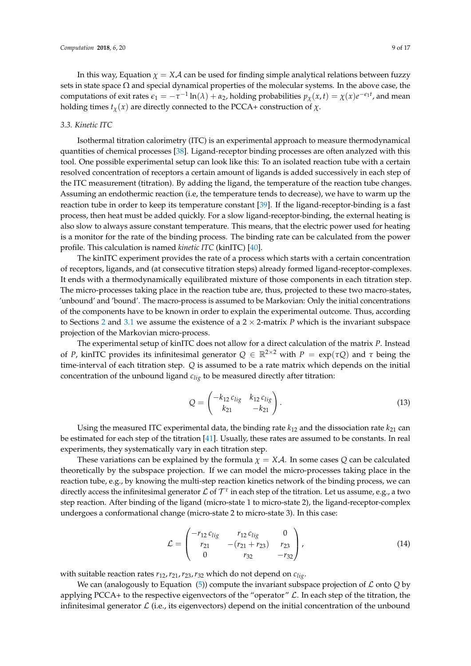In this way, Equation  $\chi = X\mathcal{A}$  can be used for finding simple analytical relations between fuzzy sets in state space  $\Omega$  and special dynamical properties of the molecular systems. In the above case, the computations of exit rates  $\epsilon_1 = -\tau^{-1} \ln(\lambda) + \alpha_2$ , holding probabilities  $p_\chi(x,t) = \chi(x) e^{-\epsilon_1 t}$ , and mean holding times  $t_\chi(x)$  are directly connected to the PCCA+ construction of  $\chi$ .

## <span id="page-8-0"></span>*3.3. Kinetic ITC*

Isothermal titration calorimetry (ITC) is an experimental approach to measure thermodynamical quantities of chemical processes [\[38\]](#page-15-13). Ligand-receptor binding processes are often analyzed with this tool. One possible experimental setup can look like this: To an isolated reaction tube with a certain resolved concentration of receptors a certain amount of ligands is added successively in each step of the ITC measurement (titration). By adding the ligand, the temperature of the reaction tube changes. Assuming an endothermic reaction (i.e, the temperature tends to decrease), we have to warm up the reaction tube in order to keep its temperature constant [\[39\]](#page-15-14). If the ligand-receptor-binding is a fast process, then heat must be added quickly. For a slow ligand-receptor-binding, the external heating is also slow to always assure constant temperature. This means, that the electric power used for heating is a monitor for the rate of the binding process. The binding rate can be calculated from the power profile. This calculation is named *kinetic ITC* (kinITC) [\[40\]](#page-15-15).

The kinITC experiment provides the rate of a process which starts with a certain concentration of receptors, ligands, and (at consecutive titration steps) already formed ligand-receptor-complexes. It ends with a thermodynamically equilibrated mixture of those components in each titration step. The micro-processes taking place in the reaction tube are, thus, projected to these two macro-states, 'unbound' and 'bound'. The macro-process is assumed to be Markovian: Only the initial concentrations of the components have to be known in order to explain the experimental outcome. Thus, according to Sections [2](#page-3-2) and [3.1](#page-5-0) we assume the existence of a  $2 \times 2$ -matrix *P* which is the invariant subspace projection of the Markovian micro-process.

The experimental setup of kinITC does not allow for a direct calculation of the matrix *P*. Instead of *P*, kinITC provides its infinitesimal generator  $Q \in \mathbb{R}^{2 \times 2}$  with  $P = \exp(\tau Q)$  and  $\tau$  being the time-interval of each titration step. *Q* is assumed to be a rate matrix which depends on the initial concentration of the unbound ligand *clig* to be measured directly after titration:

$$
Q = \begin{pmatrix} -k_{12} c_{lig} & k_{12} c_{lig} \\ k_{21} & -k_{21} \end{pmatrix}.
$$
 (13)

Using the measured ITC experimental data, the binding rate  $k_{12}$  and the dissociation rate  $k_{21}$  can be estimated for each step of the titration [\[41\]](#page-15-16). Usually, these rates are assumed to be constants. In real experiments, they systematically vary in each titration step.

These variations can be explained by the formula  $\chi = X \mathcal{A}$ . In some cases  $\mathcal Q$  can be calculated theoretically by the subspace projection. If we can model the micro-processes taking place in the reaction tube, e.g., by knowing the multi-step reaction kinetics network of the binding process, we can directly access the infinitesimal generator  $\mathcal L$  of  $\mathcal T^\tau$  in each step of the titration. Let us assume, e.g., a two step reaction. After binding of the ligand (micro-state 1 to micro-state 2), the ligand-receptor-complex undergoes a conformational change (micro-state 2 to micro-state 3). In this case:

$$
\mathcal{L} = \begin{pmatrix} -r_{12} c_{lig} & r_{12} c_{lig} & 0 \\ r_{21} & -(r_{21} + r_{23}) & r_{23} \\ 0 & r_{32} & -r_{32} \end{pmatrix},
$$
(14)

with suitable reaction rates *r*12,*r*21,*r*23,*r*<sup>32</sup> which do not depend on *clig*.

We can (analogously to Equation  $(5)$ ) compute the invariant subspace projection of  $\mathcal L$  onto  $Q$  by applying PCCA+ to the respective eigenvectors of the "operator"  $\mathcal L$ . In each step of the titration, the infinitesimal generator  $\mathcal L$  (i.e., its eigenvectors) depend on the initial concentration of the unbound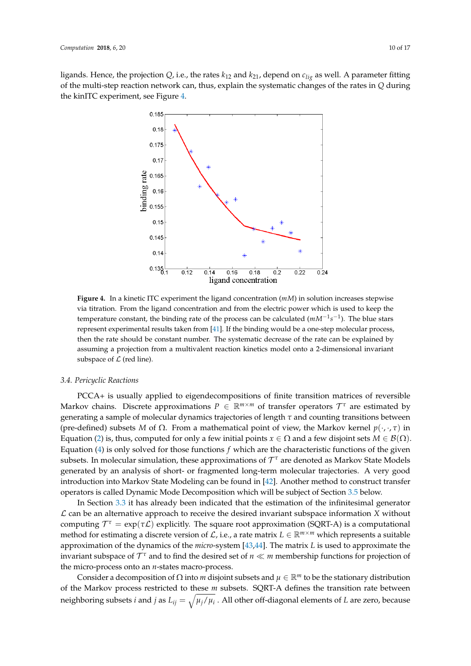<span id="page-9-0"></span>ligands. Hence, the projection  $Q$ , i.e., the rates  $k_{12}$  and  $k_{21}$ , depend on  $c_{liq}$  as well. A parameter fitting of the multi-step reaction network can, thus, explain the systematic changes of the rates in *Q* during the kinITC experiment, see Figure [4.](#page-9-0)



**Figure 4.** In a kinetic ITC experiment the ligand concentration (*mM*) in solution increases stepwise via titration. From the ligand concentration and from the electric power which is used to keep the temperature constant, the binding rate of the process can be calculated ( $mM^{-1}s^{-1}$ ). The blue stars represent experimental results taken from [\[41\]](#page-15-16). If the binding would be a one-step molecular process, then the rate should be constant number. The systematic decrease of the rate can be explained by assuming a projection from a multivalent reaction kinetics model onto a 2-dimensional invariant subspace of  $\mathcal L$  (red line).

#### *3.4. Pericyclic Reactions*

PCCA+ is usually applied to eigendecompositions of finite transition matrices of reversible Markov chains. Discrete approximations  $P \in \mathbb{R}^{m \times m}$  of transfer operators  $\mathcal{T}^{\tau}$  are estimated by generating a sample of molecular dynamics trajectories of length *τ* and counting transitions between (pre-defined) subsets *M* of  $\Omega$ . From a mathematical point of view, the Markov kernel  $p(\cdot, \cdot, \tau)$  in Equation [\(2\)](#page-3-0) is, thus, computed for only a few initial points  $x \in \Omega$  and a few disjoint sets  $M \in \mathcal{B}(\Omega)$ . Equation [\(4\)](#page-4-1) is only solved for those functions *f* which are the characteristic functions of the given subsets. In molecular simulation, these approximations of  $\mathcal{T}^\tau$  are denoted as Markov State Models generated by an analysis of short- or fragmented long-term molecular trajectories. A very good introduction into Markov State Modeling can be found in [\[42\]](#page-15-17). Another method to construct transfer operators is called Dynamic Mode Decomposition which will be subject of Section [3.5](#page-11-0) below.

In Section [3.3](#page-8-0) it has already been indicated that the estimation of the infinitesimal generator  $\mathcal L$  can be an alternative approach to receive the desired invariant subspace information *X* without computing  $\mathcal{T}^{\tau} = \exp(\tau \mathcal{L})$  explicitly. The square root approximation (SQRT-A) is a computational method for estimating a discrete version of  $\mathcal{L}$ , i.e., a rate matrix  $L \in \mathbb{R}^{m \times m}$  which represents a suitable approximation of the dynamics of the *micro*-system [\[43,](#page-15-18)[44\]](#page-15-19). The matrix *L* is used to approximate the invariant subspace of  $\mathcal{T}^{\tau}$  and to find the desired set of  $n \ll m$  membership functions for projection of the micro-process onto an *n*-states macro-process.

Consider a decomposition of  $\Omega$  into *m* disjoint subsets and  $\mu \in \mathbb{R}^m$  to be the stationary distribution of the Markov process restricted to these *m* subsets. SQRT-A defines the transition rate between neighboring subsets *i* and *j* as  $L_{ij} = \sqrt{\mu_j/\mu_i}$  . All other off-diagonal elements of *L* are zero, because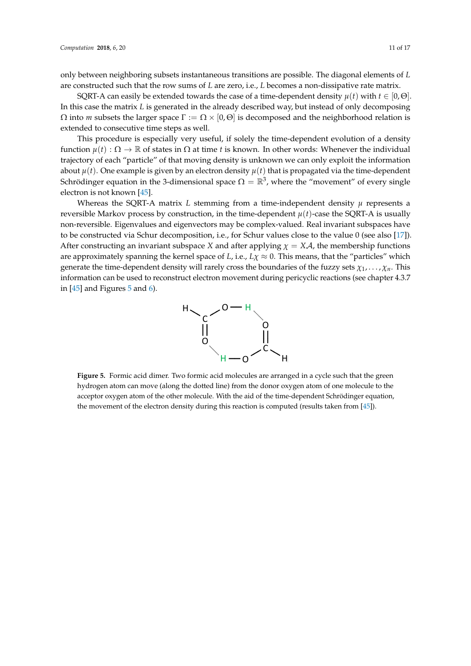only between neighboring subsets instantaneous transitions are possible. The diagonal elements of *L* are constructed such that the row sums of *L* are zero, i.e., *L* becomes a non-dissipative rate matrix.

SQRT-A can easily be extended towards the case of a time-dependent density  $\mu(t)$  with  $t \in [0,\Theta]$ . In this case the matrix *L* is generated in the already described way, but instead of only decomposing  $\Omega$  into *m* subsets the larger space  $\Gamma := \Omega \times [0, \Theta]$  is decomposed and the neighborhood relation is extended to consecutive time steps as well.

This procedure is especially very useful, if solely the time-dependent evolution of a density function  $\mu(t): \Omega \to \mathbb{R}$  of states in  $\Omega$  at time *t* is known. In other words: Whenever the individual trajectory of each "particle" of that moving density is unknown we can only exploit the information about  $\mu(t)$ . One example is given by an electron density  $\mu(t)$  that is propagated via the time-dependent Schrödinger equation in the 3-dimensional space  $\Omega = \mathbb{R}^3$ , where the "movement" of every single electron is not known [\[45\]](#page-15-20).

Whereas the SQRT-A matrix  $L$  stemming from a time-independent density  $\mu$  represents a reversible Markov process by construction, in the time-dependent  $\mu(t)$ -case the SQRT-A is usually non-reversible. Eigenvalues and eigenvectors may be complex-valued. Real invariant subspaces have to be constructed via Schur decomposition, i.e., for Schur values close to the value 0 (see also [\[17\]](#page-14-16)). After constructing an invariant subspace *X* and after applying  $\chi = X\mathcal{A}$ , the membership functions are approximately spanning the kernel space of *L*, i.e.,  $L\chi \approx 0$ . This means, that the "particles" which generate the time-dependent density will rarely cross the boundaries of the fuzzy sets  $\chi_1, \ldots, \chi_n$ . This information can be used to reconstruct electron movement during pericyclic reactions (see chapter 4.3.7 in  $[45]$  and Figures [5](#page-10-0) and [6\)](#page-11-1).



<span id="page-10-0"></span>**Figure 5.** Formic acid dimer. Two formic acid molecules are arranged in a cycle such that the green hydrogen atom can move (along the dotted line) from the donor oxygen atom of one molecule to the acceptor oxygen atom of the other molecule. With the aid of the time-dependent Schrödinger equation, the movement of the electron density during this reaction is computed (results taken from [\[45\]](#page-15-20)).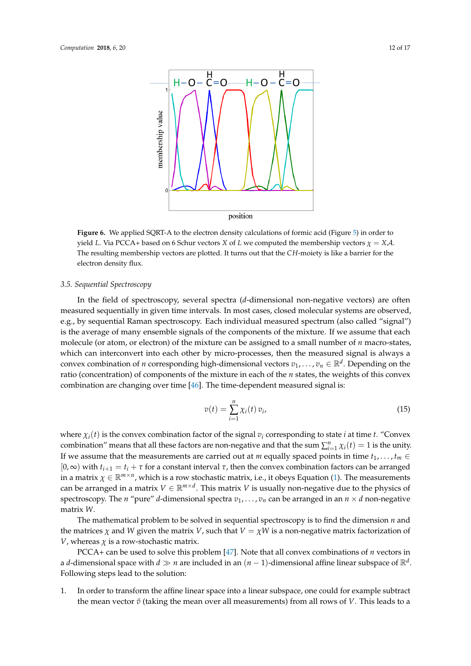<span id="page-11-1"></span>

**Figure 6.** We applied SQRT-A to the electron density calculations of formic acid (Figure [5\)](#page-10-0) in order to yield *L*. Via PCCA+ based on 6 Schur vectors *X* of *L* we computed the membership vectors  $\chi = X\mathcal{A}$ . The resulting membership vectors are plotted. It turns out that the *CH*-moiety is like a barrier for the electron density flux.

#### <span id="page-11-0"></span>*3.5. Sequential Spectroscopy*

In the field of spectroscopy, several spectra (*d*-dimensional non-negative vectors) are often measured sequentially in given time intervals. In most cases, closed molecular systems are observed, e.g., by sequential Raman spectroscopy. Each individual measured spectrum (also called "signal") is the average of many ensemble signals of the components of the mixture. If we assume that each molecule (or atom, or electron) of the mixture can be assigned to a small number of *n* macro-states, which can interconvert into each other by micro-processes, then the measured signal is always a convex combination of *n* corresponding high-dimensional vectors  $v_1, \ldots, v_n \in \mathbb{R}^d$ . Depending on the ratio (concentration) of components of the mixture in each of the *n* states, the weights of this convex combination are changing over time [\[46\]](#page-15-21). The time-dependent measured signal is:

$$
v(t) = \sum_{i=1}^{n} \chi_i(t) \, v_i,
$$
\n(15)

where  $\chi_i(t)$  is the convex combination factor of the signal  $v_i$  corresponding to state *i* at time *t*. "Convex" combination" means that all these factors are non-negative and that the sum  $\sum_{i=1}^{n} \chi_i(t) = 1$  is the unity. If we assume that the measurements are carried out at *m* equally spaced points in time  $t_1, \ldots, t_m \in$  $[0, ∞)$  with  $t_{i+1} = t_i + τ$  for a constant interval  $τ$ , then the convex combination factors can be arranged in a matrix  $\chi \in \mathbb{R}^{m \times n}$ , which is a row stochastic matrix, i.e., it obeys Equation [\(1\)](#page-1-1). The measurements can be arranged in a matrix  $V \in \mathbb{R}^{m \times d}$ . This matrix *V* is usually non-negative due to the physics of spectroscopy. The *n* "pure" *d*-dimensional spectra  $v_1, \ldots, v_n$  can be arranged in an  $n \times d$  non-negative matrix *W*.

The mathematical problem to be solved in sequential spectroscopy is to find the dimension *n* and the matrices  $\chi$  and *W* given the matrix *V*, such that  $V = \chi W$  is a non-negative matrix factorization of *V*, whereas  $\chi$  is a row-stochastic matrix.

PCCA+ can be used to solve this problem [\[47\]](#page-15-22). Note that all convex combinations of *n* vectors in a *d*-dimensional space with  $d \gg n$  are included in an  $(n-1)$ -dimensional affine linear subspace of  $\mathbb{R}^d$ . Following steps lead to the solution:

1. In order to transform the affine linear space into a linear subspace, one could for example subtract the mean vector  $\bar{v}$  (taking the mean over all measurements) from all rows of *V*. This leads to a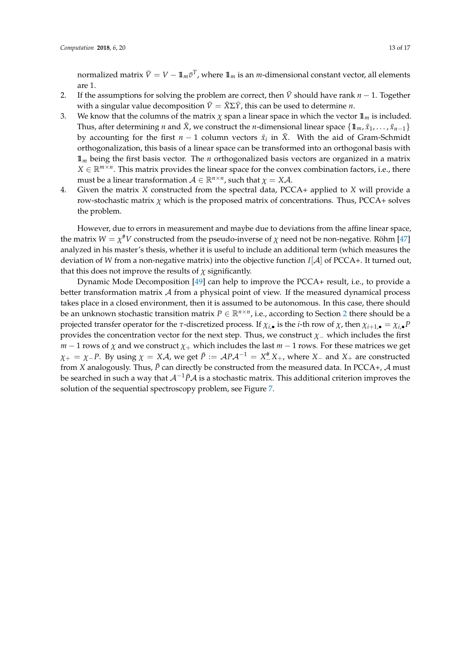normalized matrix  $\bar{V} = V - \mathbb{1}_m \bar{v}^T$ , where  $\mathbb{1}_m$  is an *m*-dimensional constant vector, all elements are 1.

- 2. If the assumptions for solving the problem are correct, then  $\bar{V}$  should have rank  $n 1$ . Together with a singular value decomposition  $\bar{V} = \bar{X} \Sigma \bar{Y}$ , this can be used to determine *n*.
- 3. We know that the columns of the matrix  $\chi$  span a linear space in which the vector  $\mathbb{1}_m$  is included. Thus, after determining *n* and  $\bar{X}$ , we construct the *n*-dimensional linear space  $\{\mathbb{1}_m, \bar{x}_1, \ldots, \bar{x}_{n-1}\}\$ by accounting for the first  $n-1$  column vectors  $\bar{x}_i$  in  $\bar{X}$ . With the aid of Gram-Schmidt orthogonalization, this basis of a linear space can be transformed into an orthogonal basis with 11*<sup>m</sup>* being the first basis vector. The *n* orthogonalized basis vectors are organized in a matrix  $X \in \mathbb{R}^{m \times n}$ . This matrix provides the linear space for the convex combination factors, i.e., there must be a linear transformation  $A \in \mathbb{R}^{n \times n}$ , such that  $\chi = X \mathcal{A}$ .
- 4. Given the matrix *X* constructed from the spectral data, PCCA+ applied to *X* will provide a row-stochastic matrix  $\chi$  which is the proposed matrix of concentrations. Thus, PCCA+ solves the problem.

However, due to errors in measurement and maybe due to deviations from the affine linear space, the matrix  $W = \chi^\# V$  constructed from the pseudo-inverse of  $\chi$  need not be non-negative. Röhm [\[47\]](#page-15-22) analyzed in his master's thesis, whether it is useful to include an additional term (which measures the deviation of *W* from a non-negative matrix) into the objective function *I*[A] of PCCA+. It turned out, that this does not improve the results of  $\chi$  significantly.

Dynamic Mode Decomposition [\[49\]](#page-15-23) can help to improve the PCCA+ result, i.e., to provide a better transformation matrix  $A$  from a physical point of view. If the measured dynamical process takes place in a closed environment, then it is assumed to be autonomous. In this case, there should be an unknown stochastic transition matrix  $P \in \mathbb{R}^{n \times n}$ , i.e., according to Section [2](#page-3-2) there should be a projected transfer operator for the *τ*-discretized process. If  $\chi_{i, \bullet}$  is the *i*-th row of  $\chi$ , then  $\chi_{i+1, \bullet} = \chi_{i, \bullet} P$ provides the concentration vector for the next step. Thus, we construct *χ*− which includes the first *m* − 1 rows of  $\chi$  and we construct  $\chi$ + which includes the last *m* − 1 rows. For these matrices we get  $\chi_+ = \chi_- P$ . By using  $\chi = X \mathcal{A}$ , we get  $\bar{P} := \mathcal{A} P \mathcal{A}^{-1} = X_-^{\#} X_+$ , where  $X_-$  and  $X_+$  are constructed from *X* analogously. Thus,  $\bar{P}$  can directly be constructed from the measured data. In PCCA+,  $\cal{A}$  must be searched in such a way that  $A^{-1}P A$  is a stochastic matrix. This additional criterion improves the solution of the sequential spectroscopy problem, see Figure [7.](#page-13-0)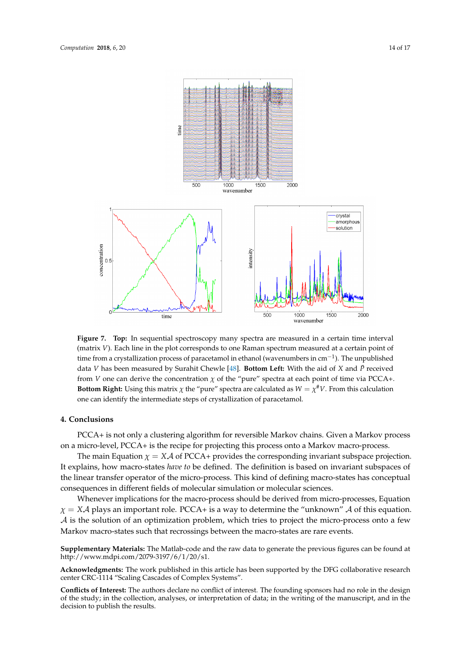<span id="page-13-0"></span>

**Figure 7. Top:** In sequential spectroscopy many spectra are measured in a certain time interval (matrix *V*). Each line in the plot corresponds to one Raman spectrum measured at a certain point of time from a crystallization process of paracetamol in ethanol (wavenumbers in cm<sup>-1</sup>). The unpublished data *V* has been measured by Surahit Chewle [\[48\]](#page-15-24). **Bottom Left:** With the aid of *X* and  $\bar{P}$  received from *V* one can derive the concentration  $\chi$  of the "pure" spectra at each point of time via PCCA+. **Bottom Right:** Using this matrix  $\chi$  the "pure" spectra are calculated as  $W = \chi^{\#}V$ . From this calculation one can identify the intermediate steps of crystallization of paracetamol.

## **4. Conclusions**

PCCA+ is not only a clustering algorithm for reversible Markov chains. Given a Markov process on a micro-level, PCCA+ is the recipe for projecting this process onto a Markov macro-process.

The main Equation  $\chi = X\mathcal{A}$  of PCCA+ provides the corresponding invariant subspace projection. It explains, how macro-states *have to* be defined. The definition is based on invariant subspaces of the linear transfer operator of the micro-process. This kind of defining macro-states has conceptual consequences in different fields of molecular simulation or molecular sciences.

Whenever implications for the macro-process should be derived from micro-processes, Equation  $\chi = X\mathcal{A}$  plays an important role. PCCA+ is a way to determine the "unknown"  $\mathcal{A}$  of this equation. A is the solution of an optimization problem, which tries to project the micro-process onto a few Markov macro-states such that recrossings between the macro-states are rare events.

**Supplementary Materials:** The Matlab-code and the raw data to generate the previous figures can be found at http://www.mdpi.com/2079-3197/6/1/20/s1.

**Acknowledgments:** The work published in this article has been supported by the DFG collaborative research center CRC-1114 "Scaling Cascades of Complex Systems".

**Conflicts of Interest:** The authors declare no conflict of interest. The founding sponsors had no role in the design of the study; in the collection, analyses, or interpretation of data; in the writing of the manuscript, and in the decision to publish the results.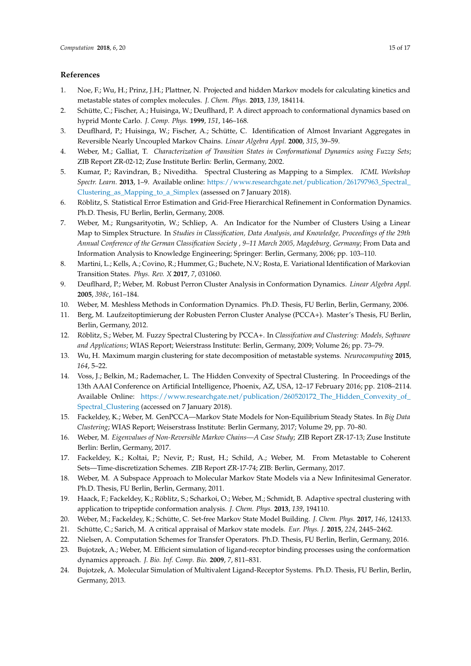## **References**

- <span id="page-14-0"></span>1. Noe, F.; Wu, H.; Prinz, J.H.; Plattner, N. Projected and hidden Markov models for calculating kinetics and metastable states of complex molecules. *J. Chem. Phys.* **2013**, *139*, 184114.
- <span id="page-14-1"></span>2. Schütte, C.; Fischer, A.; Huisinga, W.; Deuflhard, P. A direct approach to conformational dynamics based on hyprid Monte Carlo. *J. Comp. Phys.* **1999**, *151*, 146–168.
- <span id="page-14-2"></span>3. Deuflhard, P.; Huisinga, W.; Fischer, A.; Schütte, C. Identification of Almost Invariant Aggregates in Reversible Nearly Uncoupled Markov Chains. *Linear Algebra Appl.* **2000**, *315*, 39–59.
- <span id="page-14-3"></span>4. Weber, M.; Galliat, T. *Characterization of Transition States in Conformational Dynamics using Fuzzy Sets*; ZIB Report ZR-02-12; Zuse Institute Berlin: Berlin, Germany, 2002.
- <span id="page-14-4"></span>5. Kumar, P.; Ravindran, B.; Niveditha. Spectral Clustering as Mapping to a Simplex. *ICML Workshop Spectr. Learn.* **2013**, 1–9. Available online: [https://www.researchgate.net/publication/261797963\\_Spectral\\_](https://www.researchgate.net/publication/261797963_Spectral_Clustering_as_Mapping_to_a_Simplex) [Clustering\\_as\\_Mapping\\_to\\_a\\_Simplex](https://www.researchgate.net/publication/261797963_Spectral_Clustering_as_Mapping_to_a_Simplex) (assessed on 7 January 2018).
- <span id="page-14-5"></span>6. Röblitz, S. Statistical Error Estimation and Grid-Free Hierarchical Refinement in Conformation Dynamics. Ph.D. Thesis, FU Berlin, Berlin, Germany, 2008.
- <span id="page-14-6"></span>7. Weber, M.; Rungsarityotin, W.; Schliep, A. An Indicator for the Number of Clusters Using a Linear Map to Simplex Structure. In *Studies in Classification, Data Analysis, and Knowledge, Proceedings of the 29th Annual Conference of the German Classification Society , 9–11 March 2005, Magdeburg, Germany*; From Data and Information Analysis to Knowledge Engineering; Springer: Berlin, Germany, 2006; pp. 103–110.
- <span id="page-14-7"></span>8. Martini, L.; Kells, A.; Covino, R.; Hummer, G.; Buchete, N.V.; Rosta, E. Variational Identification of Markovian Transition States. *Phys. Rev. X* **2017**, *7*, 031060.
- <span id="page-14-8"></span>9. Deuflhard, P.; Weber, M. Robust Perron Cluster Analysis in Conformation Dynamics. *Linear Algebra Appl.* **2005**, *398c*, 161–184.
- <span id="page-14-9"></span>10. Weber, M. Meshless Methods in Conformation Dynamics. Ph.D. Thesis, FU Berlin, Berlin, Germany, 2006.
- <span id="page-14-10"></span>11. Berg, M. Laufzeitoptimierung der Robusten Perron Cluster Analyse (PCCA+). Master's Thesis, FU Berlin, Berlin, Germany, 2012.
- <span id="page-14-11"></span>12. Röblitz, S.; Weber, M. Fuzzy Spectral Clustering by PCCA+. In *Classifcation and Clustering: Models, Software and Applications*; WIAS Report; Weierstrass Institute: Berlin, Germany, 2009; Volume 26; pp. 73–79.
- <span id="page-14-12"></span>13. Wu, H. Maximum margin clustering for state decomposition of metastable systems. *Neurocomputing* **2015**, *164*, 5–22.
- <span id="page-14-13"></span>14. Voss, J.; Belkin, M.; Rademacher, L. The Hidden Convexity of Spectral Clustering. In Proceedings of the 13th AAAI Conference on Artificial Intelligence, Phoenix, AZ, USA, 12–17 February 2016; pp. 2108–2114. Available Online: [https://www.researchgate.net/publication/260520172\\_The\\_Hidden\\_Convexity\\_of\\_](https://www.researchgate.net/publication/260520172_The_Hidden_Convexity_of_Spectral_Clustering) [Spectral\\_Clustering](https://www.researchgate.net/publication/260520172_The_Hidden_Convexity_of_Spectral_Clustering) (accessed on 7 January 2018).
- <span id="page-14-14"></span>15. Fackeldey, K.; Weber, M. GenPCCA—Markov State Models for Non-Equilibrium Steady States. In *Big Data Clustering*; WIAS Report; Weiserstrass Institute: Berlin Germany, 2017; Volume 29, pp. 70–80.
- <span id="page-14-15"></span>16. Weber, M. *Eigenvalues of Non-Reversible Markov Chains—A Case Study*; ZIB Report ZR-17-13; Zuse Institute Berlin: Berlin, Germany, 2017.
- <span id="page-14-16"></span>17. Fackeldey, K.; Koltai, P.; Nevir, P.; Rust, H.; Schild, A.; Weber, M. From Metastable to Coherent Sets—Time-discretization Schemes. ZIB Report ZR-17-74; ZIB: Berlin, Germany, 2017.
- <span id="page-14-17"></span>18. Weber, M. A Subspace Approach to Molecular Markov State Models via a New Infinitesimal Generator. Ph.D. Thesis, FU Berlin, Berlin, Germany, 2011.
- <span id="page-14-18"></span>19. Haack, F.; Fackeldey, K.; Röblitz, S.; Scharkoi, O.; Weber, M.; Schmidt, B. Adaptive spectral clustering with application to tripeptide conformation analysis. *J. Chem. Phys.* **2013**, *139*, 194110.
- <span id="page-14-19"></span>20. Weber, M.; Fackeldey, K.; Schütte, C. Set-free Markov State Model Building. *J. Chem. Phys.* **2017**, *146*, 124133.
- <span id="page-14-20"></span>21. Schütte, C.; Sarich, M. A critical appraisal of Markov state models. *Eur. Phys. J.* **2015**, *224*, 2445–2462.
- <span id="page-14-21"></span>22. Nielsen, A. Computation Schemes for Transfer Operators. Ph.D. Thesis, FU Berlin, Berlin, Germany, 2016.
- <span id="page-14-22"></span>23. Bujotzek, A.; Weber, M. Efficient simulation of ligand-receptor binding processes using the conformation dynamics approach. *J. Bio. Inf. Comp. Bio.* **2009**, *7*, 811–831.
- 24. Bujotzek, A. Molecular Simulation of Multivalent Ligand-Receptor Systems. Ph.D. Thesis, FU Berlin, Berlin, Germany, 2013.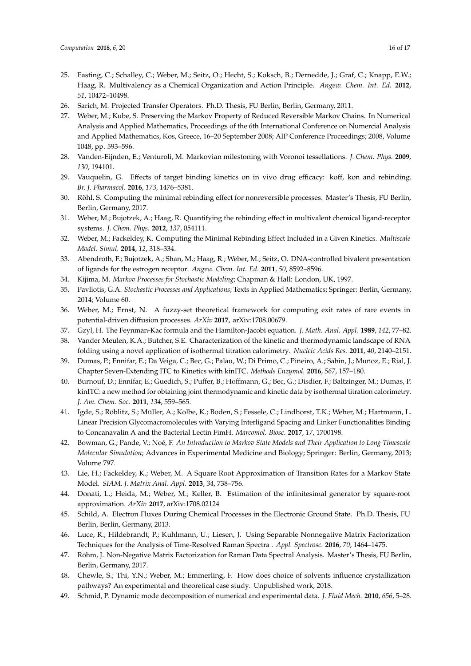- <span id="page-15-0"></span>25. Fasting, C.; Schalley, C.; Weber, M.; Seitz, O.; Hecht, S.; Koksch, B.; Dernedde, J.; Graf, C.; Knapp, E.W.; Haag, R. Multivalency as a Chemical Organization and Action Principle. *Angew. Chem. Int. Ed.* **2012**, *51*, 10472–10498.
- <span id="page-15-1"></span>26. Sarich, M. Projected Transfer Operators. Ph.D. Thesis, FU Berlin, Berlin, Germany, 2011.
- <span id="page-15-2"></span>27. Weber, M.; Kube, S. Preserving the Markov Property of Reduced Reversible Markov Chains. In Numerical Analysis and Applied Mathematics, Proceedings of the 6th International Conference on Numercial Analysis and Applied Mathematics, Kos, Greece, 16–20 September 2008; AIP Conference Proceedings; 2008, Volume 1048, pp. 593–596.
- <span id="page-15-3"></span>28. Vanden-Eijnden, E.; Venturoli, M. Markovian milestoning with Voronoi tessellations. *J. Chem. Phys.* **2009**, *130*, 194101.
- <span id="page-15-4"></span>29. Vauquelin, G. Effects of target binding kinetics on in vivo drug efficacy: koff, kon and rebinding. *Br. J. Pharmacol.* **2016**, *173*, 1476–5381.
- <span id="page-15-5"></span>30. Röhl, S. Computing the minimal rebinding effect for nonreversible processes. Master's Thesis, FU Berlin, Berlin, Germany, 2017.
- <span id="page-15-6"></span>31. Weber, M.; Bujotzek, A.; Haag, R. Quantifying the rebinding effect in multivalent chemical ligand-receptor systems. *J. Chem. Phys.* **2012**, *137*, 054111.
- <span id="page-15-7"></span>32. Weber, M.; Fackeldey, K. Computing the Minimal Rebinding Effect Included in a Given Kinetics. *Multiscale Model. Simul.* **2014**, *12*, 318–334.
- <span id="page-15-8"></span>33. Abendroth, F.; Bujotzek, A.; Shan, M.; Haag, R.; Weber, M.; Seitz, O. DNA-controlled bivalent presentation of ligands for the estrogen receptor. *Angew. Chem. Int. Ed.* **2011**, *50*, 8592–8596.
- <span id="page-15-9"></span>34. Kijima, M. *Markov Processes for Stochastic Modeling*; Chapman & Hall: London, UK, 1997.
- <span id="page-15-10"></span>35. Pavliotis, G.A. *Stochastic Processes and Applications*; Texts in Applied Mathematics; Springer: Berlin, Germany, 2014; Volume 60.
- <span id="page-15-11"></span>36. Weber, M.; Ernst, N. A fuzzy-set theoretical framework for computing exit rates of rare events in potential-driven diffusion processes. *ArXiv* **2017**, arXiv:1708.00679.
- <span id="page-15-12"></span>37. Gzyl, H. The Feynman-Kac formula and the Hamilton-Jacobi equation. *J. Math. Anal. Appl.* **1989**, *142*, 77–82.
- <span id="page-15-13"></span>38. Vander Meulen, K.A.; Butcher, S.E. Characterization of the kinetic and thermodynamic landscape of RNA folding using a novel application of isothermal titration calorimetry. *Nucleic Acids Res.* **2011**, *40*, 2140–2151.
- <span id="page-15-14"></span>39. Dumas, P.; Ennifar, E.; Da Veiga, C.; Bec, G.; Palau, W.; Di Primo, C.; Piñeiro, A.; Sabin, J.; Muñoz, E.; Rial, J. Chapter Seven-Extending ITC to Kinetics with kinITC. *Methods Enzymol.* **2016**, *567*, 157–180.
- <span id="page-15-15"></span>40. Burnouf, D.; Ennifar, E.; Guedich, S.; Puffer, B.; Hoffmann, G.; Bec, G.; Disdier, F.; Baltzinger, M.; Dumas, P. kinITC: a new method for obtaining joint thermodynamic and kinetic data by isothermal titration calorimetry. *J. Am. Chem. Soc.* **2011**, *134*, 559–565.
- <span id="page-15-16"></span>41. Igde, S.; Röblitz, S.; Müller, A.; Kolbe, K.; Boden, S.; Fessele, C.; Lindhorst, T.K.; Weber, M.; Hartmann, L. Linear Precision Glycomacromolecules with Varying Interligand Spacing and Linker Functionalities Binding to Concanavalin A and the Bacterial Lectin FimH. *Marcomol. Biosc.* **2017**, *17*, 1700198.
- <span id="page-15-17"></span>42. Bowman, G.; Pande, V.; Noé, F. *An Introduction to Markov State Models and Their Application to Long Timescale Molecular Simulation*; Advances in Experimental Medicine and Biology; Springer: Berlin, Germany, 2013; Volume 797.
- <span id="page-15-18"></span>43. Lie, H.; Fackeldey, K.; Weber, M. A Square Root Approximation of Transition Rates for a Markov State Model. *SIAM. J. Matrix Anal. Appl.* **2013**, *34*, 738–756.
- <span id="page-15-19"></span>44. Donati, L.; Heida, M.; Weber, M.; Keller, B. Estimation of the infinitesimal generator by square-root approximation. *ArXiv* **2017**, arXiv:1708.02124
- <span id="page-15-20"></span>45. Schild, A. Electron Fluxes During Chemical Processes in the Electronic Ground State. Ph.D. Thesis, FU Berlin, Berlin, Germany, 2013.
- <span id="page-15-21"></span>46. Luce, R.; Hildebrandt, P.; Kuhlmann, U.; Liesen, J. Using Separable Nonnegative Matrix Factorization Techniques for the Analysis of Time-Resolved Raman Spectra . *Appl. Spectrosc.* **2016**, *70*, 1464–1475.
- <span id="page-15-22"></span>47. Röhm, J. Non-Negative Matrix Factorization for Raman Data Spectral Analysis. Master's Thesis, FU Berlin, Berlin, Germany, 2017.
- <span id="page-15-24"></span>48. Chewle, S.; Thi, Y.N.; Weber, M.; Emmerling, F. How does choice of solvents influence crystallization pathways? An experimental and theoretical case study. Unpublished work, 2018.
- <span id="page-15-23"></span>49. Schmid, P. Dynamic mode decomposition of numerical and experimental data. *J. Fluid Mech.* **2010**, *656*, 5–28.